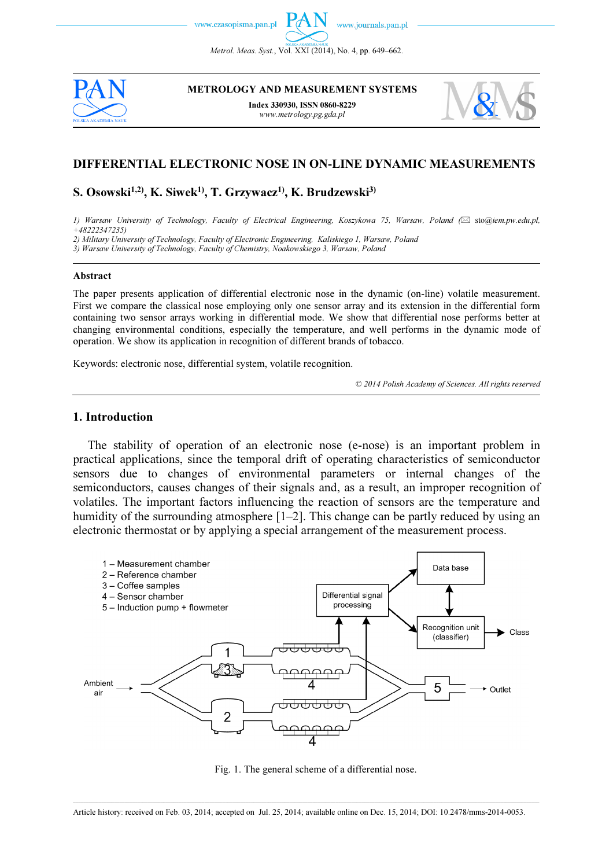www.czasopisma.pan.pl

Metrol. Meas. Syst., Vol. XXI (2014), No. 4, pp. 649–662.



METROLOGY AND MEASUREMENT SYSTEMS

Index 330930, ISSN 0860-8229 www.metrology.pg.gda.pl



## DIFFERENTIAL ELECTRONIC NOSE IN ON-LINE DYNAMIC MEASUREMENTS

# S. Osowski<sup>1,2)</sup>, K. Siwek<sup>1)</sup>, T. Grzywacz<sup>1)</sup>, K. Brudzewski<sup>3)</sup>

1) Warsaw University of Technology, Faculty of Electrical Engineering, Koszykowa 75, Warsaw, Poland ( sto@iem.pw.edu.pl,  $+48222347235$ 

2) Military University of Technology, Faculty of Electronic Engineering, Kaliskiego 1, Warsaw, Poland

3) Warsaw University of Technology, Faculty of Chemistry, Noakowskiego 3, Warsaw, Poland

#### Abstract

The paper presents application of differential electronic nose in the dynamic (on-line) volatile measurement. First we compare the classical nose employing only one sensor array and its extension in the differential form containing two sensor arrays working in differential mode. We show that differential nose performs better at changing environmental conditions, especially the temperature, and well performs in the dynamic mode of operation. We show its application in recognition of different brands of tobacco.

Keywords: electronic nose, differential system, volatile recognition.

© 2014 Polish Academy of Sciences. All rights reserved

## 1. Introduction

The stability of operation of an electronic nose (e-nose) is an important problem in practical applications, since the temporal drift of operating characteristics of semiconductor sensors due to changes of environmental parameters or internal changes of the semiconductors, causes changes of their signals and, as a result, an improper recognition of volatiles. The important factors influencing the reaction of sensors are the temperature and humidity of the surrounding atmosphere  $[1-2]$ . This change can be partly reduced by using an electronic thermostat or by applying a special arrangement of the measurement process.



Fig. 1. The general scheme of a differential nose.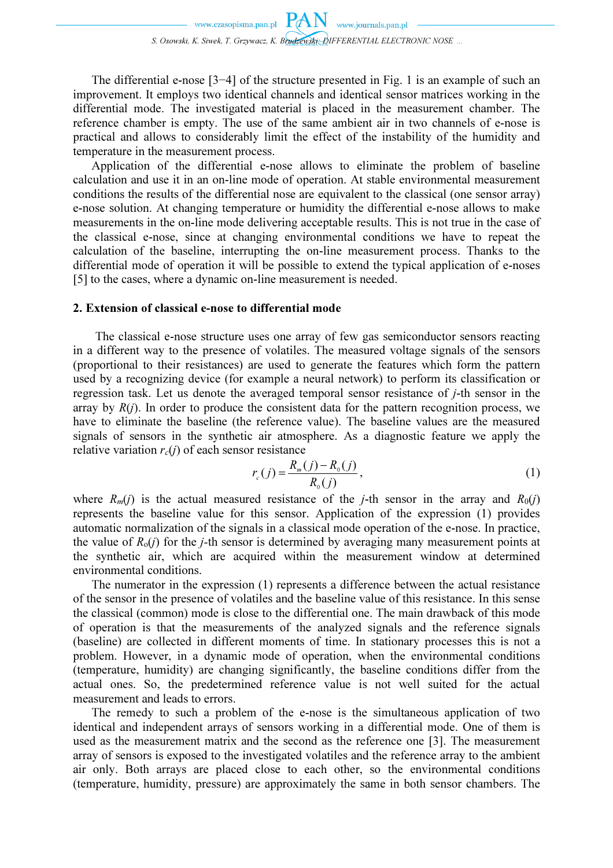The differential e-nose [3−4] of the structure presented in Fig. 1 is an example of such an improvement. It employs two identical channels and identical sensor matrices working in the differential mode. The investigated material is placed in the measurement chamber. The reference chamber is empty. The use of the same ambient air in two channels of e-nose is practical and allows to considerably limit the effect of the instability of the humidity and temperature in the measurement process.

Application of the differential e-nose allows to eliminate the problem of baseline calculation and use it in an on-line mode of operation. At stable environmental measurement conditions the results of the differential nose are equivalent to the classical (one sensor array) e-nose solution. At changing temperature or humidity the differential e-nose allows to make measurements in the on-line mode delivering acceptable results. This is not true in the case of the classical e-nose, since at changing environmental conditions we have to repeat the calculation of the baseline, interrupting the on-line measurement process. Thanks to the differential mode of operation it will be possible to extend the typical application of e-noses [5] to the cases, where a dynamic on-line measurement is needed.

## 2. Extension of classical e-nose to differential mode

The classical e-nose structure uses one array of few gas semiconductor sensors reacting in a different way to the presence of volatiles. The measured voltage signals of the sensors (proportional to their resistances) are used to generate the features which form the pattern used by a recognizing device (for example a neural network) to perform its classification or regression task. Let us denote the averaged temporal sensor resistance of j-th sensor in the array by  $R(i)$ . In order to produce the consistent data for the pattern recognition process, we have to eliminate the baseline (the reference value). The baseline values are the measured signals of sensors in the synthetic air atmosphere. As a diagnostic feature we apply the relative variation  $r_c(j)$  of each sensor resistance

$$
r_c(j) = \frac{R_m(j) - R_o(j)}{R_o(j)},
$$
\n(1)

where  $R_m(j)$  is the actual measured resistance of the j-th sensor in the array and  $R_0(j)$ represents the baseline value for this sensor. Application of the expression (1) provides automatic normalization of the signals in a classical mode operation of the e-nose. In practice, the value of  $R_0(i)$  for the *j*-th sensor is determined by averaging many measurement points at the synthetic air, which are acquired within the measurement window at determined environmental conditions.

The numerator in the expression (1) represents a difference between the actual resistance of the sensor in the presence of volatiles and the baseline value of this resistance. In this sense the classical (common) mode is close to the differential one. The main drawback of this mode of operation is that the measurements of the analyzed signals and the reference signals (baseline) are collected in different moments of time. In stationary processes this is not a problem. However, in a dynamic mode of operation, when the environmental conditions (temperature, humidity) are changing significantly, the baseline conditions differ from the actual ones. So, the predetermined reference value is not well suited for the actual measurement and leads to errors.

The remedy to such a problem of the e-nose is the simultaneous application of two identical and independent arrays of sensors working in a differential mode. One of them is used as the measurement matrix and the second as the reference one [3]. The measurement array of sensors is exposed to the investigated volatiles and the reference array to the ambient air only. Both arrays are placed close to each other, so the environmental conditions (temperature, humidity, pressure) are approximately the same in both sensor chambers. The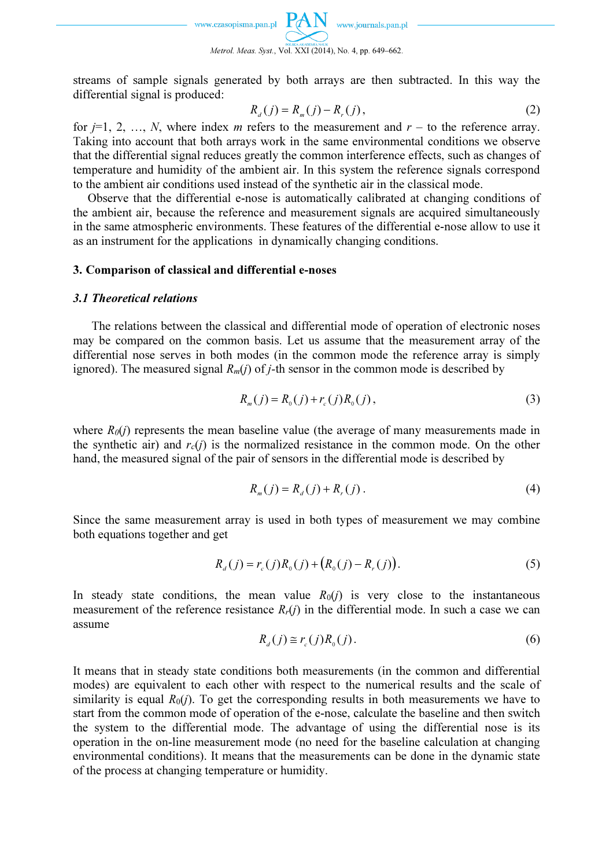

streams of sample signals generated by both arrays are then subtracted. In this way the differential signal is produced:

$$
R_a(j) = R_m(j) - R_r(j),
$$
 (2)

for  $j=1, 2, ..., N$ , where index m refers to the measurement and  $r -$  to the reference array. Taking into account that both arrays work in the same environmental conditions we observe that the differential signal reduces greatly the common interference effects, such as changes of temperature and humidity of the ambient air. In this system the reference signals correspond to the ambient air conditions used instead of the synthetic air in the classical mode.

Observe that the differential e-nose is automatically calibrated at changing conditions of the ambient air, because the reference and measurement signals are acquired simultaneously in the same atmospheric environments. These features of the differential e-nose allow to use it as an instrument for the applications in dynamically changing conditions.

### 3. Comparison of classical and differential e-noses

#### 3.1 Theoretical relations

The relations between the classical and differential mode of operation of electronic noses may be compared on the common basis. Let us assume that the measurement array of the differential nose serves in both modes (in the common mode the reference array is simply ignored). The measured signal  $R_m(i)$  of *j*-th sensor in the common mode is described by

$$
R_m(j) = R_o(j) + r_c(j)R_o(j),
$$
\n(3)

where  $R_0(i)$  represents the mean baseline value (the average of many measurements made in the synthetic air) and  $r_c(i)$  is the normalized resistance in the common mode. On the other hand, the measured signal of the pair of sensors in the differential mode is described by

$$
R_m(j) = R_d(j) + R_r(j).
$$
 (4)

Since the same measurement array is used in both types of measurement we may combine both equations together and get

$$
R_a(j) = r_c(j)R_0(j) + (R_0(j) - R_r(j)).
$$
\n(5)

In steady state conditions, the mean value  $R_0(i)$  is very close to the instantaneous measurement of the reference resistance  $R_r(i)$  in the differential mode. In such a case we can assume

$$
R_d(j) \cong r_c(j)R_0(j). \tag{6}
$$

It means that in steady state conditions both measurements (in the common and differential modes) are equivalent to each other with respect to the numerical results and the scale of similarity is equal  $R_0(i)$ . To get the corresponding results in both measurements we have to start from the common mode of operation of the e-nose, calculate the baseline and then switch the system to the differential mode. The advantage of using the differential nose is its operation in the on-line measurement mode (no need for the baseline calculation at changing environmental conditions). It means that the measurements can be done in the dynamic state of the process at changing temperature or humidity.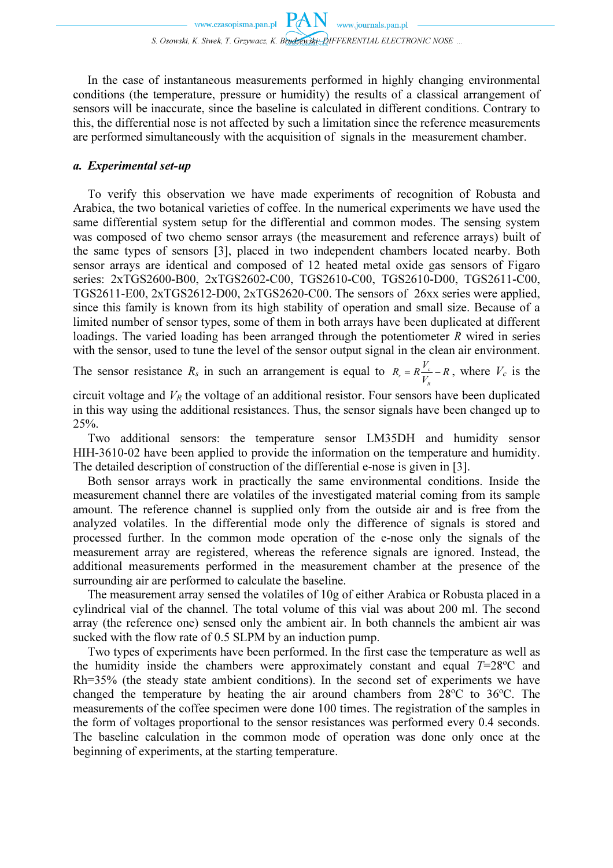In the case of instantaneous measurements performed in highly changing environmental conditions (the temperature, pressure or humidity) the results of a classical arrangement of sensors will be inaccurate, since the baseline is calculated in different conditions. Contrary to this, the differential nose is not affected by such a limitation since the reference measurements are performed simultaneously with the acquisition of signals in the measurement chamber.

## a. Experimental set-up

To verify this observation we have made experiments of recognition of Robusta and Arabica, the two botanical varieties of coffee. In the numerical experiments we have used the same differential system setup for the differential and common modes. The sensing system was composed of two chemo sensor arrays (the measurement and reference arrays) built of the same types of sensors [3], placed in two independent chambers located nearby. Both sensor arrays are identical and composed of 12 heated metal oxide gas sensors of Figaro series: 2xTGS2600-B00, 2xTGS2602-C00, TGS2610-C00, TGS2610-D00, TGS2611-C00, TGS2611-E00, 2xTGS2612-D00, 2xTGS2620-C00. The sensors of 26xx series were applied, since this family is known from its high stability of operation and small size. Because of a limited number of sensor types, some of them in both arrays have been duplicated at different loadings. The varied loading has been arranged through the potentiometer  *wired in series* with the sensor, used to tune the level of the sensor output signal in the clean air environment.

The sensor resistance  $R_s$  in such an arrangement is equal to  $R_s = R \frac{V_c}{V_s} - R$  $R = R^{\frac{V}{2}}$ R  $c_s = R \frac{V_c}{V} - R$ , where  $V_c$  is the

circuit voltage and  $V_R$  the voltage of an additional resistor. Four sensors have been duplicated in this way using the additional resistances. Thus, the sensor signals have been changed up to 25%.

Two additional sensors: the temperature sensor LM35DH and humidity sensor HIH-3610-02 have been applied to provide the information on the temperature and humidity. The detailed description of construction of the differential e-nose is given in [3].

Both sensor arrays work in practically the same environmental conditions. Inside the measurement channel there are volatiles of the investigated material coming from its sample amount. The reference channel is supplied only from the outside air and is free from the analyzed volatiles. In the differential mode only the difference of signals is stored and processed further. In the common mode operation of the e-nose only the signals of the measurement array are registered, whereas the reference signals are ignored. Instead, the additional measurements performed in the measurement chamber at the presence of the surrounding air are performed to calculate the baseline.

The measurement array sensed the volatiles of 10g of either Arabica or Robusta placed in a cylindrical vial of the channel. The total volume of this vial was about 200 ml. The second array (the reference one) sensed only the ambient air. In both channels the ambient air was sucked with the flow rate of 0.5 SLPM by an induction pump.

Two types of experiments have been performed. In the first case the temperature as well as the humidity inside the chambers were approximately constant and equal  $T=28^{\circ}$ C and Rh=35% (the steady state ambient conditions). In the second set of experiments we have changed the temperature by heating the air around chambers from  $28^{\circ}$ C to  $36^{\circ}$ C. The measurements of the coffee specimen were done 100 times. The registration of the samples in the form of voltages proportional to the sensor resistances was performed every 0.4 seconds. The baseline calculation in the common mode of operation was done only once at the beginning of experiments, at the starting temperature.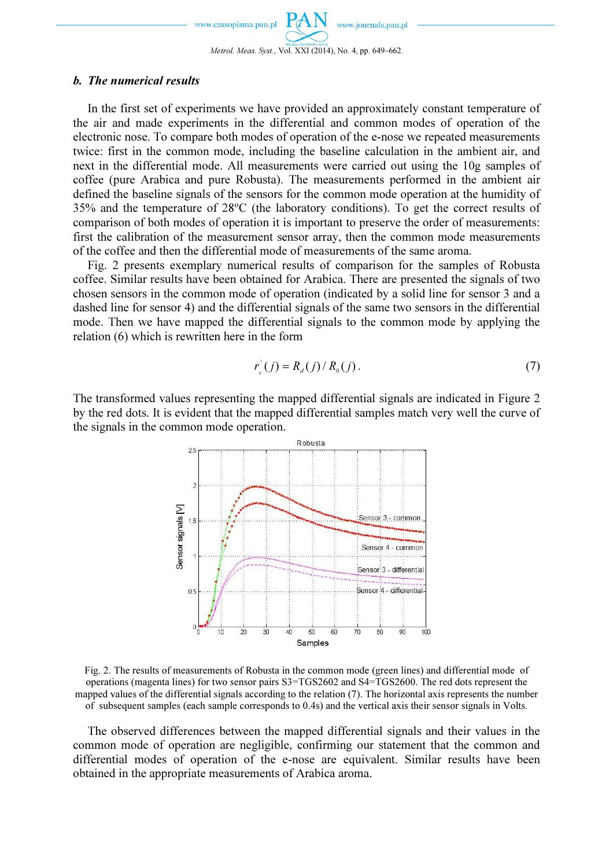www.czasopisma.pan.pl

In the first set of experiments we have provided an approximately constant temperature of the air and made experiments in the differential and common modes of operation of the electronic nose. To compare both modes of operation of the e-nose we repeated measurements twice: first in the common mode, including the baseline calculation in the ambient air, and next in the differential mode. All measurements were carried out using the 10g samples of coffee (pure Arabica and pure Robusta). The measurements performed in the ambient air defined the baseline signals of the sensors for the common mode operation at the humidity of 35% and the temperature of 28<sup>o</sup>C (the laboratory conditions). To get the correct results of comparison of both modes of operation it is important to preserve the order of measurements: first the calibration of the measurement sensor array, then the common mode measurements of the coffee and then the differential mode of measurements of the same aroma.

Fig. 2 presents exemplary numerical results of comparison for the samples of Robusta coffee. Similar results have been obtained for Arabica. There are presented the signals of two chosen sensors in the common mode of operation (indicated by a solid line for sensor 3 and a dashed line for sensor 4) and the differential signals of the same two sensors in the differential mode. Then we have mapped the differential signals to the common mode by applying the relation (6) which is rewritten here in the form

$$
r'_{c}(j) = R_{d}(j) / R_{0}(j).
$$
 (7)

The transformed values representing the mapped differential signals are indicated in Figure 2 by the red dots. It is evident that the mapped differential samples match very well the curve of the signals in the common mode operation.



Fig. 2. The results of measurements of Robusta in the common mode (green lines) and differential mode of operations (magenta lines) for two sensor pairs S3=TGS2602 and S4=TGS2600. The red dots represent the mapped values of the differential signals according to the relation (7). The horizontal axis represents the number of subsequent samples (each sample corresponds to 0.4s) and the vertical axis their sensor signals in Volts.

The observed differences between the mapped differential signals and their values in the common mode of operation are negligible, confirming our statement that the common and differential modes of operation of the e-nose are equivalent. Similar results have been obtained in the appropriate measurements of Arabica aroma.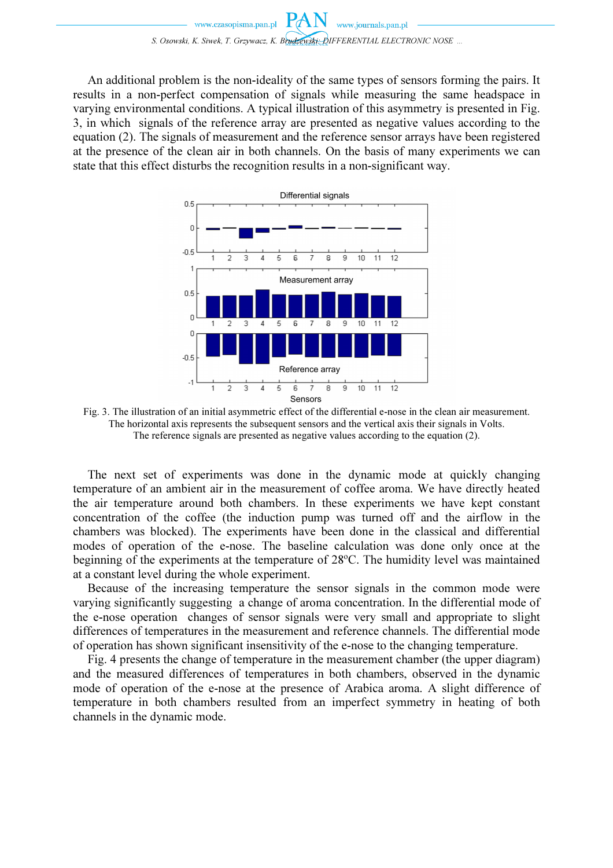An additional problem is the non-ideality of the same types of sensors forming the pairs. It results in a non-perfect compensation of signals while measuring the same headspace in varying environmental conditions. A typical illustration of this asymmetry is presented in Fig. 3, in which signals of the reference array are presented as negative values according to the equation (2). The signals of measurement and the reference sensor arrays have been registered at the presence of the clean air in both channels. On the basis of many experiments we can state that this effect disturbs the recognition results in a non-significant way.



Fig. 3. The illustration of an initial asymmetric effect of the differential e-nose in the clean air measurement. The horizontal axis represents the subsequent sensors and the vertical axis their signals in Volts. The reference signals are presented as negative values according to the equation (2).

 The next set of experiments was done in the dynamic mode at quickly changing temperature of an ambient air in the measurement of coffee aroma. We have directly heated the air temperature around both chambers. In these experiments we have kept constant concentration of the coffee (the induction pump was turned off and the airflow in the chambers was blocked). The experiments have been done in the classical and differential modes of operation of the e-nose. The baseline calculation was done only once at the beginning of the experiments at the temperature of  $28^{\circ}$ C. The humidity level was maintained at a constant level during the whole experiment.

Because of the increasing temperature the sensor signals in the common mode were varying significantly suggesting a change of aroma concentration. In the differential mode of the e-nose operation changes of sensor signals were very small and appropriate to slight differences of temperatures in the measurement and reference channels. The differential mode of operation has shown significant insensitivity of the e-nose to the changing temperature.

Fig. 4 presents the change of temperature in the measurement chamber (the upper diagram) and the measured differences of temperatures in both chambers, observed in the dynamic mode of operation of the e-nose at the presence of Arabica aroma. A slight difference of temperature in both chambers resulted from an imperfect symmetry in heating of both channels in the dynamic mode.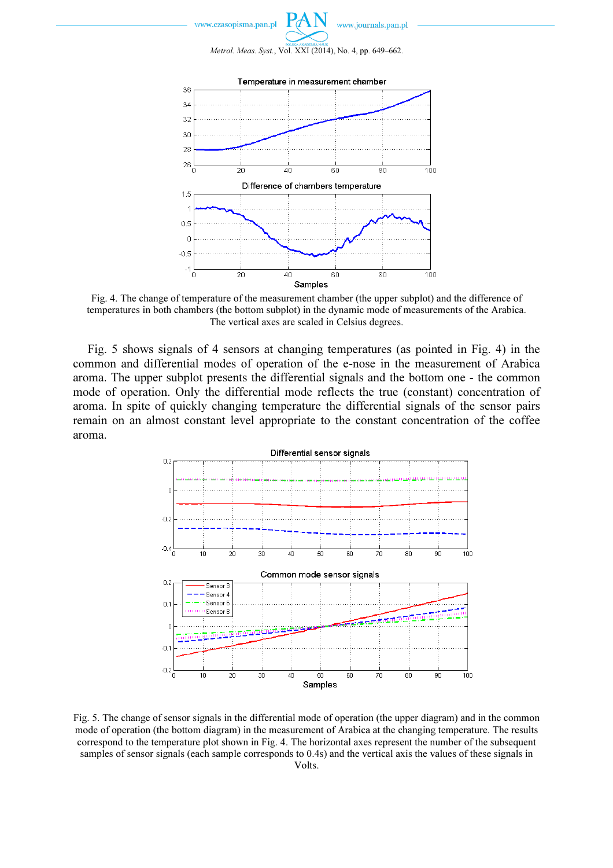



Fig. 4. The change of temperature of the measurement chamber (the upper subplot) and the difference of temperatures in both chambers (the bottom subplot) in the dynamic mode of measurements of the Arabica. The vertical axes are scaled in Celsius degrees.

Fig. 5 shows signals of 4 sensors at changing temperatures (as pointed in Fig. 4) in the common and differential modes of operation of the e-nose in the measurement of Arabica aroma. The upper subplot presents the differential signals and the bottom one - the common mode of operation. Only the differential mode reflects the true (constant) concentration of aroma. In spite of quickly changing temperature the differential signals of the sensor pairs remain on an almost constant level appropriate to the constant concentration of the coffee aroma.



Fig. 5. The change of sensor signals in the differential mode of operation (the upper diagram) and in the common mode of operation (the bottom diagram) in the measurement of Arabica at the changing temperature. The results correspond to the temperature plot shown in Fig. 4. The horizontal axes represent the number of the subsequent samples of sensor signals (each sample corresponds to 0.4s) and the vertical axis the values of these signals in Volts.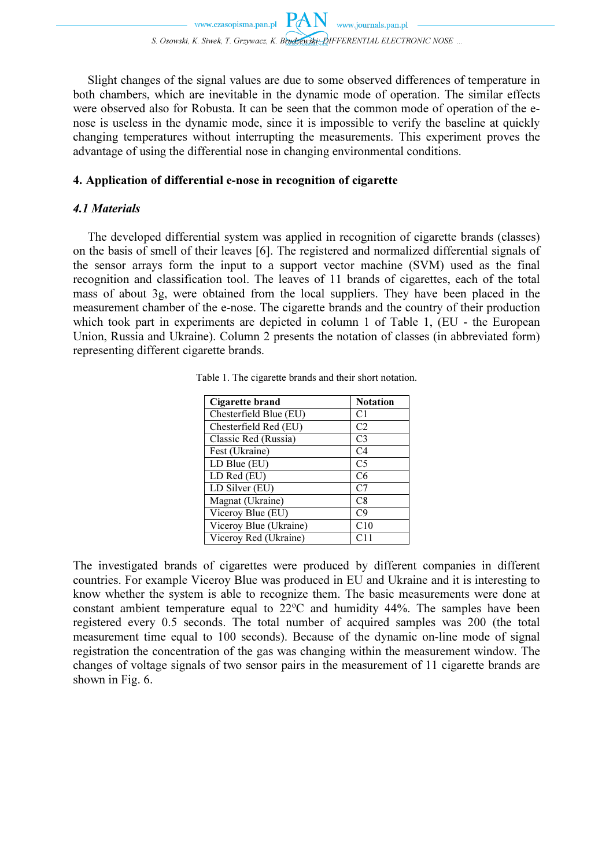Slight changes of the signal values are due to some observed differences of temperature in both chambers, which are inevitable in the dynamic mode of operation. The similar effects were observed also for Robusta. It can be seen that the common mode of operation of the enose is useless in the dynamic mode, since it is impossible to verify the baseline at quickly changing temperatures without interrupting the measurements. This experiment proves the advantage of using the differential nose in changing environmental conditions.

# 4. Application of differential e-nose in recognition of cigarette

# 4.1 Materials

The developed differential system was applied in recognition of cigarette brands (classes) on the basis of smell of their leaves [6]. The registered and normalized differential signals of the sensor arrays form the input to a support vector machine (SVM) used as the final recognition and classification tool. The leaves of 11 brands of cigarettes, each of the total mass of about 3g, were obtained from the local suppliers. They have been placed in the measurement chamber of the e-nose. The cigarette brands and the country of their production which took part in experiments are depicted in column 1 of Table 1, (EU - the European Union, Russia and Ukraine). Column 2 presents the notation of classes (in abbreviated form) representing different cigarette brands.

| Cigarette brand        | <b>Notation</b> |
|------------------------|-----------------|
| Chesterfield Blue (EU) | C <sub>1</sub>  |
| Chesterfield Red (EU)  | C <sub>2</sub>  |
| Classic Red (Russia)   | C <sub>3</sub>  |
| Fest (Ukraine)         | C4              |
| LD Blue (EU)           | C <sub>5</sub>  |
| LD Red (EU)            | C <sub>6</sub>  |
| LD Silver (EU)         | C <sub>7</sub>  |
| Magnat (Ukraine)       | C8              |
| Viceroy Blue (EU)      | C9              |
| Viceroy Blue (Ukraine) | C10             |
| Viceroy Red (Ukraine)  | C11             |

Table 1. The cigarette brands and their short notation.

The investigated brands of cigarettes were produced by different companies in different countries. For example Viceroy Blue was produced in EU and Ukraine and it is interesting to know whether the system is able to recognize them. The basic measurements were done at constant ambient temperature equal to  $22^{\circ}$ C and humidity 44%. The samples have been registered every 0.5 seconds. The total number of acquired samples was 200 (the total measurement time equal to 100 seconds). Because of the dynamic on-line mode of signal registration the concentration of the gas was changing within the measurement window. The changes of voltage signals of two sensor pairs in the measurement of 11 cigarette brands are shown in Fig. 6.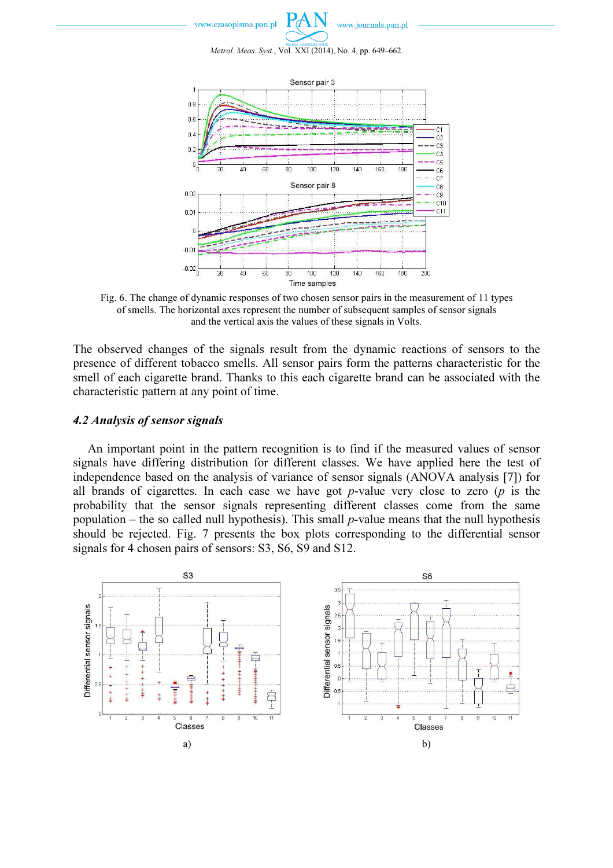www.czasopisma.pan.pl



Metrol. Meas. Syst., Vol. XXI (2014), No. 4, pp. 649–662.



Fig. 6. The change of dynamic responses of two chosen sensor pairs in the measurement of 11 types of smells. The horizontal axes represent the number of subsequent samples of sensor signals and the vertical axis the values of these signals in Volts.

The observed changes of the signals result from the dynamic reactions of sensors to the presence of different tobacco smells. All sensor pairs form the patterns characteristic for the smell of each cigarette brand. Thanks to this each cigarette brand can be associated with the characteristic pattern at any point of time.

## 4.2 Analysis of sensor signals

An important point in the pattern recognition is to find if the measured values of sensor signals have differing distribution for different classes. We have applied here the test of independence based on the analysis of variance of sensor signals (ANOVA analysis [7]) for all brands of cigarettes. In each case we have got  $p$ -value very close to zero ( $p$  is the probability that the sensor signals representing different classes come from the same population – the so called null hypothesis). This small  $p$ -value means that the null hypothesis should be rejected. Fig. 7 presents the box plots corresponding to the differential sensor signals for 4 chosen pairs of sensors: S3, S6, S9 and S12.

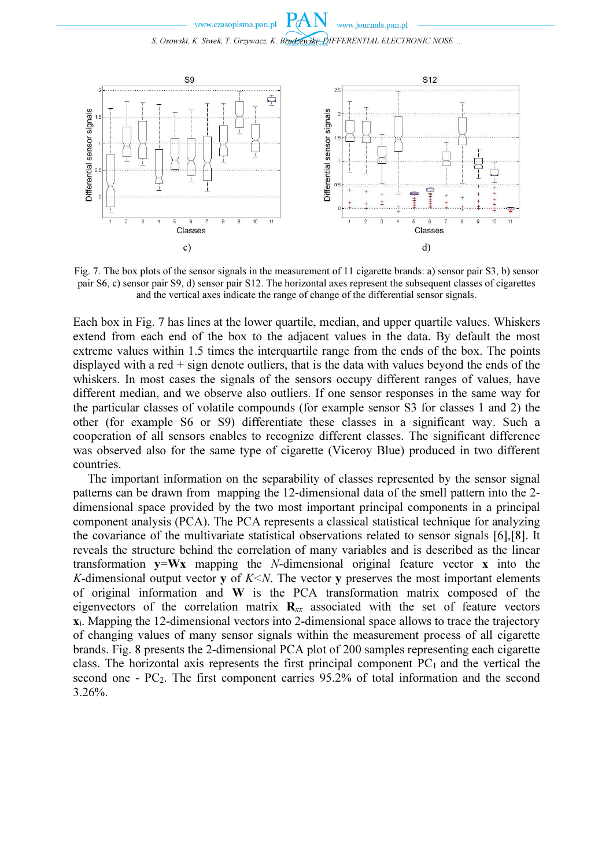

Fig. 7. The box plots of the sensor signals in the measurement of 11 cigarette brands: a) sensor pair S3, b) sensor pair S6, c) sensor pair S9, d) sensor pair S12. The horizontal axes represent the subsequent classes of cigarettes and the vertical axes indicate the range of change of the differential sensor signals.

Each box in Fig. 7 has lines at the lower quartile, median, and upper quartile values. Whiskers extend from each end of the box to the adjacent values in the data. By default the most extreme values within 1.5 times the interquartile range from the ends of the box. The points displayed with a red + sign denote outliers, that is the data with values beyond the ends of the whiskers. In most cases the signals of the sensors occupy different ranges of values, have different median, and we observe also outliers. If one sensor responses in the same way for the particular classes of volatile compounds (for example sensor S3 for classes 1 and 2) the other (for example S6 or S9) differentiate these classes in a significant way. Such a cooperation of all sensors enables to recognize different classes. The significant difference was observed also for the same type of cigarette (Viceroy Blue) produced in two different countries.

 The important information on the separability of classes represented by the sensor signal patterns can be drawn from mapping the 12-dimensional data of the smell pattern into the 2 dimensional space provided by the two most important principal components in a principal component analysis (PCA). The PCA represents a classical statistical technique for analyzing the covariance of the multivariate statistical observations related to sensor signals [6],[8]. It reveals the structure behind the correlation of many variables and is described as the linear transformation  $y=Wx$  mapping the *N*-dimensional original feature vector **x** into the K-dimensional output vector y of  $K \leq N$ . The vector y preserves the most important elements of original information and W is the PCA transformation matrix composed of the eigenvectors of the correlation matrix  $\mathbf{R}_{xx}$  associated with the set of feature vectors xi. Mapping the 12-dimensional vectors into 2-dimensional space allows to trace the trajectory of changing values of many sensor signals within the measurement process of all cigarette brands. Fig. 8 presents the 2-dimensional PCA plot of 200 samples representing each cigarette class. The horizontal axis represents the first principal component  $PC<sub>1</sub>$  and the vertical the second one - PC<sub>2</sub>. The first component carries 95.2% of total information and the second 3.26%.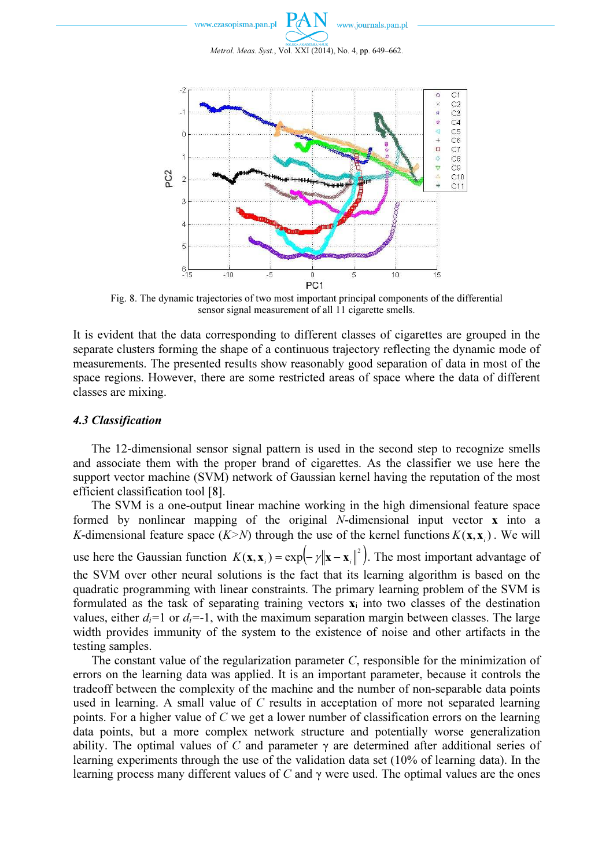

Metrol. Meas. Syst., Vol. XXI (2014), No. 4, pp. 649–662.



Fig. 8. The dynamic trajectories of two most important principal components of the differential sensor signal measurement of all 11 cigarette smells.

It is evident that the data corresponding to different classes of cigarettes are grouped in the separate clusters forming the shape of a continuous trajectory reflecting the dynamic mode of measurements. The presented results show reasonably good separation of data in most of the space regions. However, there are some restricted areas of space where the data of different classes are mixing.

#### 4.3 Classification

The 12-dimensional sensor signal pattern is used in the second step to recognize smells and associate them with the proper brand of cigarettes. As the classifier we use here the support vector machine (SVM) network of Gaussian kernel having the reputation of the most efficient classification tool [8].

The SVM is a one-output linear machine working in the high dimensional feature space formed by nonlinear mapping of the original N-dimensional input vector x into a K-dimensional feature space  $(K > N)$  through the use of the kernel functions  $K(\mathbf{x}, \mathbf{x}_i)$ . We will use here the Gaussian function  $K(\mathbf{x}, \mathbf{x}_i) = \exp(-\gamma ||\mathbf{x} - \mathbf{x}_i||^2)$ . The most important advantage of the SVM over other neural solutions is the fact that its learning algorithm is based on the quadratic programming with linear constraints. The primary learning problem of the SVM is formulated as the task of separating training vectors  $\mathbf{x}_i$  into two classes of the destination values, either  $d_i=1$  or  $d_i=-1$ , with the maximum separation margin between classes. The large width provides immunity of the system to the existence of noise and other artifacts in the testing samples.

The constant value of the regularization parameter  $C$ , responsible for the minimization of errors on the learning data was applied. It is an important parameter, because it controls the tradeoff between the complexity of the machine and the number of non-separable data points used in learning. A small value of C results in acceptation of more not separated learning points. For a higher value of  $C$  we get a lower number of classification errors on the learning data points, but a more complex network structure and potentially worse generalization ability. The optimal values of C and parameter  $\gamma$  are determined after additional series of learning experiments through the use of the validation data set (10% of learning data). In the learning process many different values of C and  $\gamma$  were used. The optimal values are the ones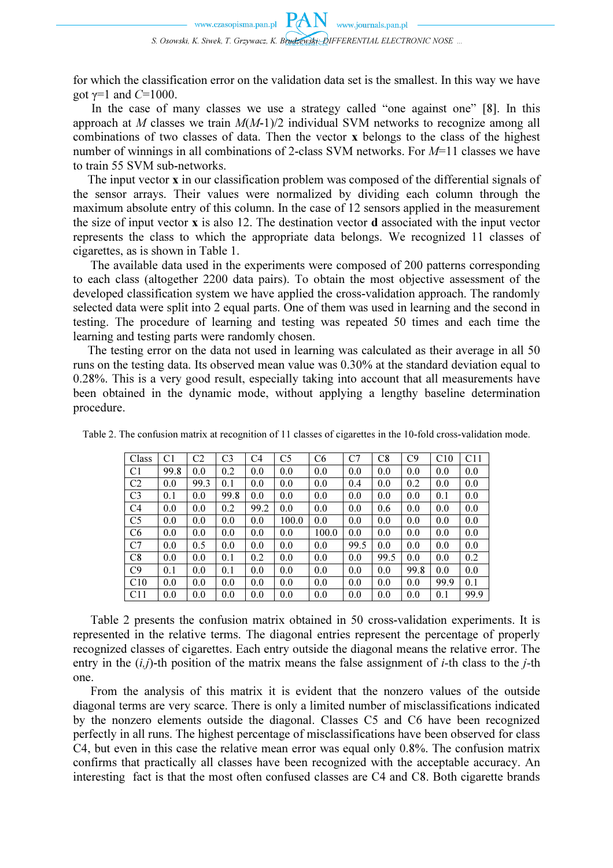for which the classification error on the validation data set is the smallest. In this way we have got  $\gamma$ =1 and C=1000.

In the case of many classes we use a strategy called "one against one" [8]. In this approach at M classes we train  $M(M-1)/2$  individual SVM networks to recognize among all combinations of two classes of data. Then the vector x belongs to the class of the highest number of winnings in all combinations of 2-class SVM networks. For  $M=11$  classes we have to train 55 SVM sub-networks.

The input vector **x** in our classification problem was composed of the differential signals of the sensor arrays. Their values were normalized by dividing each column through the maximum absolute entry of this column. In the case of 12 sensors applied in the measurement the size of input vector x is also 12. The destination vector d associated with the input vector represents the class to which the appropriate data belongs. We recognized 11 classes of cigarettes, as is shown in Table 1.

The available data used in the experiments were composed of 200 patterns corresponding to each class (altogether 2200 data pairs). To obtain the most objective assessment of the developed classification system we have applied the cross-validation approach. The randomly selected data were split into 2 equal parts. One of them was used in learning and the second in testing. The procedure of learning and testing was repeated 50 times and each time the learning and testing parts were randomly chosen.

The testing error on the data not used in learning was calculated as their average in all 50 runs on the testing data. Its observed mean value was 0.30% at the standard deviation equal to 0.28%. This is a very good result, especially taking into account that all measurements have been obtained in the dynamic mode, without applying a lengthy baseline determination procedure.

| Class          | C1   | C2   | C3   | C4   | C5    | C <sub>6</sub> | C <sub>7</sub> | C8   | C9   | C10  | C11              |
|----------------|------|------|------|------|-------|----------------|----------------|------|------|------|------------------|
| C1             | 99.8 | 0.0  | 0.2  | 0.0  | 0.0   | 0.0            | 0.0            | 0.0  | 0.0  | 0.0  | 0.0              |
| C <sub>2</sub> | 0.0  | 99.3 | 0.1  | 0.0  | 0.0   | 0.0            | 0.4            | 0.0  | 0.2  | 0.0  | 0.0              |
| C <sub>3</sub> | 0.1  | 0.0  | 99.8 | 0.0  | 0.0   | 0.0            | 0.0            | 0.0  | 0.0  | 0.1  | 0.0              |
| C <sub>4</sub> | 0.0  | 0.0  | 0.2  | 99.2 | 0.0   | 0.0            | 0.0            | 0.6  | 0.0  | 0.0  | 0.0              |
| C <sub>5</sub> | 0.0  | 0.0  | 0.0  | 0.0  | 100.0 | 0.0            | 0.0            | 0.0  | 0.0  | 0.0  | 0.0              |
| C6             | 0.0  | 0.0  | 0.0  | 0.0  | 0.0   | 100.0          | 0.0            | 0.0  | 0.0  | 0.0  | 0.0              |
| C <sub>7</sub> | 0.0  | 0.5  | 0.0  | 0.0  | 0.0   | 0.0            | 99.5           | 0.0  | 0.0  | 0.0  | 0.0              |
| C8             | 0.0  | 0.0  | 0.1  | 0.2  | 0.0   | 0.0            | 0.0            | 99.5 | 0.0  | 0.0  | 0.2 <sub>1</sub> |
| C9             | 0.1  | 0.0  | 0.1  | 0.0  | 0.0   | 0.0            | 0.0            | 0.0  | 99.8 | 0.0  | 0.0              |
| C10            | 0.0  | 0.0  | 0.0  | 0.0  | 0.0   | 0.0            | 0.0            | 0.0  | 0.0  | 99.9 | 0.1              |
| C11            | 0.0  | 0.0  | 0.0  | 0.0  | 0.0   | 0.0            | 0.0            | 0.0  | 0.0  | 0.1  | 99.9             |

Table 2. The confusion matrix at recognition of 11 classes of cigarettes in the 10-fold cross-validation mode.

Table 2 presents the confusion matrix obtained in 50 cross-validation experiments. It is represented in the relative terms. The diagonal entries represent the percentage of properly recognized classes of cigarettes. Each entry outside the diagonal means the relative error. The entry in the  $(i,j)$ -th position of the matrix means the false assignment of *i*-th class to the *j*-th one.

From the analysis of this matrix it is evident that the nonzero values of the outside diagonal terms are very scarce. There is only a limited number of misclassifications indicated by the nonzero elements outside the diagonal. Classes C5 and C6 have been recognized perfectly in all runs. The highest percentage of misclassifications have been observed for class C4, but even in this case the relative mean error was equal only 0.8%. The confusion matrix confirms that practically all classes have been recognized with the acceptable accuracy. An interesting fact is that the most often confused classes are C4 and C8. Both cigarette brands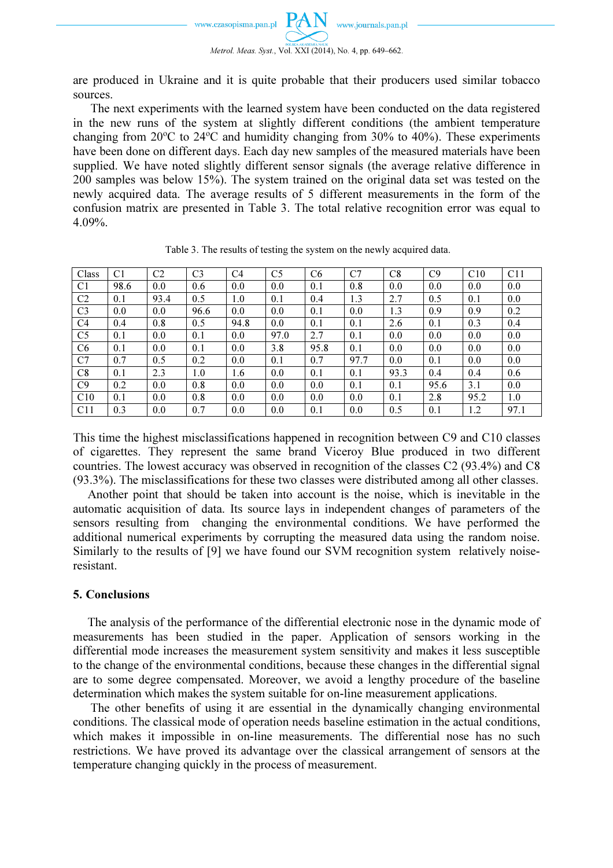

are produced in Ukraine and it is quite probable that their producers used similar tobacco sources.

The next experiments with the learned system have been conducted on the data registered in the new runs of the system at slightly different conditions (the ambient temperature changing from  $20^{\circ}$ C to  $24^{\circ}$ C and humidity changing from  $30\%$  to  $40\%$ ). These experiments have been done on different days. Each day new samples of the measured materials have been supplied. We have noted slightly different sensor signals (the average relative difference in 200 samples was below 15%). The system trained on the original data set was tested on the newly acquired data. The average results of 5 different measurements in the form of the confusion matrix are presented in Table 3. The total relative recognition error was equal to 4.09%.

| Class           | C1   | C2   | C <sub>3</sub> | C <sub>4</sub> | C <sub>5</sub> | C <sub>6</sub> | C <sub>7</sub> | C8   | C9   | C10  | C11  |
|-----------------|------|------|----------------|----------------|----------------|----------------|----------------|------|------|------|------|
| C1              | 98.6 | 0.0  | 0.6            | 0.0            | 0.0            | 0.1            | 0.8            | 0.0  | 0.0  | 0.0  | 0.0  |
| C <sub>2</sub>  | 0.1  | 93.4 | 0.5            | 1.0            | 0.1            | 0.4            | 1.3            | 2.7  | 0.5  | 0.1  | 0.0  |
| C <sub>3</sub>  | 0.0  | 0.0  | 96.6           | 0.0            | 0.0            | 0.1            | 0.0            | 1.3  | 0.9  | 0.9  | 0.2  |
| C4              | 0.4  | 0.8  | 0.5            | 94.8           | 0.0            | 0.1            | 0.1            | 2.6  | 0.1  | 0.3  | 0.4  |
| C <sub>5</sub>  | 0.1  | 0.0  | 0.1            | 0.0            | 97.0           | 2.7            | 0.1            | 0.0  | 0.0  | 0.0  | 0.0  |
| C <sub>6</sub>  | 0.1  | 0.0  | 0.1            | 0.0            | 3.8            | 95.8           | 0.1            | 0.0  | 0.0  | 0.0  | 0.0  |
| C7              | 0.7  | 0.5  | 0.2            | 0.0            | 0.1            | 0.7            | 97.7           | 0.0  | 0.1  | 0.0  | 0.0  |
| C8              | 0.1  | 2.3  | 1.0            | 1.6            | 0.0            | 0.1            | 0.1            | 93.3 | 0.4  | 0.4  | 0.6  |
| C <sub>9</sub>  | 0.2  | 0.0  | 0.8            | 0.0            | 0.0            | 0.0            | 0.1            | 0.1  | 95.6 | 3.1  | 0.0  |
| C10             | 0.1  | 0.0  | 0.8            | 0.0            | 0.0            | 0.0            | 0.0            | 0.1  | 2.8  | 95.2 | 1.0  |
| C <sub>11</sub> | 0.3  | 0.0  | 0.7            | 0.0            | 0.0            | 0.1            | 0.0            | 0.5  | 0.1  | 1.2  | 97.1 |

Table 3. The results of testing the system on the newly acquired data.

This time the highest misclassifications happened in recognition between C9 and C10 classes of cigarettes. They represent the same brand Viceroy Blue produced in two different countries. The lowest accuracy was observed in recognition of the classes C2 (93.4%) and C8 (93.3%). The misclassifications for these two classes were distributed among all other classes.

Another point that should be taken into account is the noise, which is inevitable in the automatic acquisition of data. Its source lays in independent changes of parameters of the sensors resulting from changing the environmental conditions. We have performed the additional numerical experiments by corrupting the measured data using the random noise. Similarly to the results of [9] we have found our SVM recognition system relatively noiseresistant.

## 5. Conclusions

The analysis of the performance of the differential electronic nose in the dynamic mode of measurements has been studied in the paper. Application of sensors working in the differential mode increases the measurement system sensitivity and makes it less susceptible to the change of the environmental conditions, because these changes in the differential signal are to some degree compensated. Moreover, we avoid a lengthy procedure of the baseline determination which makes the system suitable for on-line measurement applications.

The other benefits of using it are essential in the dynamically changing environmental conditions. The classical mode of operation needs baseline estimation in the actual conditions, which makes it impossible in on-line measurements. The differential nose has no such restrictions. We have proved its advantage over the classical arrangement of sensors at the temperature changing quickly in the process of measurement.